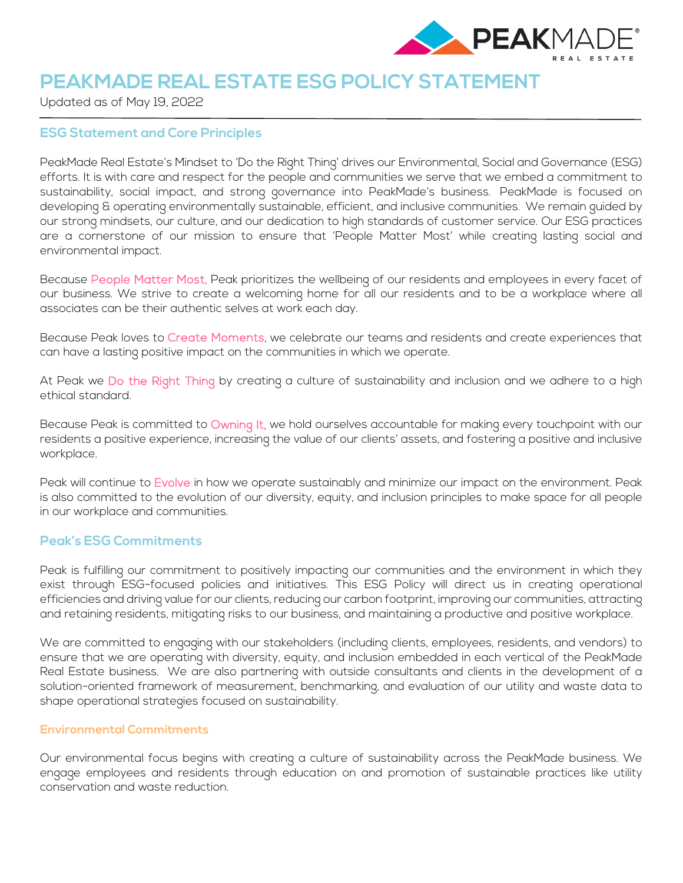

# **PEAKMADE REAL ESTATE ESG POLICY STATEMENT**

Updated as of May 19, 2022

## **ESG Statement and Core Principles**

PeakMade Real Estate's Mindset to 'Do the Right Thing' drives our Environmental, Social and Governance (ESG) efforts. It is with care and respect for the people and communities we serve that we embed a commitment to sustainability, social impact, and strong governance into PeakMade's business. PeakMade is focused on developing & operating environmentally sustainable, efficient, and inclusive communities. We remain guided by our strong mindsets, our culture, and our dedication to high standards of customer service. Our ESG practices are a cornerstone of our mission to ensure that 'People Matter Most' while creating lasting social and environmental impact.

Because People Matter Most, Peak prioritizes the wellbeing of our residents and employees in every facet of our business. We strive to create a welcoming home for all our residents and to be a workplace where all associates can be their authentic selves at work each day.

Because Peak loves to Create Moments, we celebrate our teams and residents and create experiences that can have a lasting positive impact on the communities in which we operate.

At Peak we Do the Right Thing by creating a culture of sustainability and inclusion and we adhere to a high ethical standard.

Because Peak is committed to Owning It, we hold ourselves accountable for making every touchpoint with our residents a positive experience, increasing the value of our clients' assets, and fostering a positive and inclusive workplace.

Peak will continue to Evolve in how we operate sustainably and minimize our impact on the environment. Peak is also committed to the evolution of our diversity, equity, and inclusion principles to make space for all people in our workplace and communities.

# **Peak's ESG Commitments**

Peak is fulfilling our commitment to positively impacting our communities and the environment in which they exist through ESG-focused policies and initiatives. This ESG Policy will direct us in creating operational efficiencies and driving value for our clients, reducing our carbon footprint, improving our communities, attracting and retaining residents, mitigating risks to our business, and maintaining a productive and positive workplace.

We are committed to engaging with our stakeholders (including clients, employees, residents, and vendors) to ensure that we are operating with diversity, equity, and inclusion embedded in each vertical of the PeakMade Real Estate business. We are also partnering with outside consultants and clients in the development of a solution-oriented framework of measurement, benchmarking, and evaluation of our utility and waste data to shape operational strategies focused on sustainability.

## **Environmental Commitments**

Our environmental focus begins with creating a culture of sustainability across the PeakMade business. We engage employees and residents through education on and promotion of sustainable practices like utility conservation and waste reduction.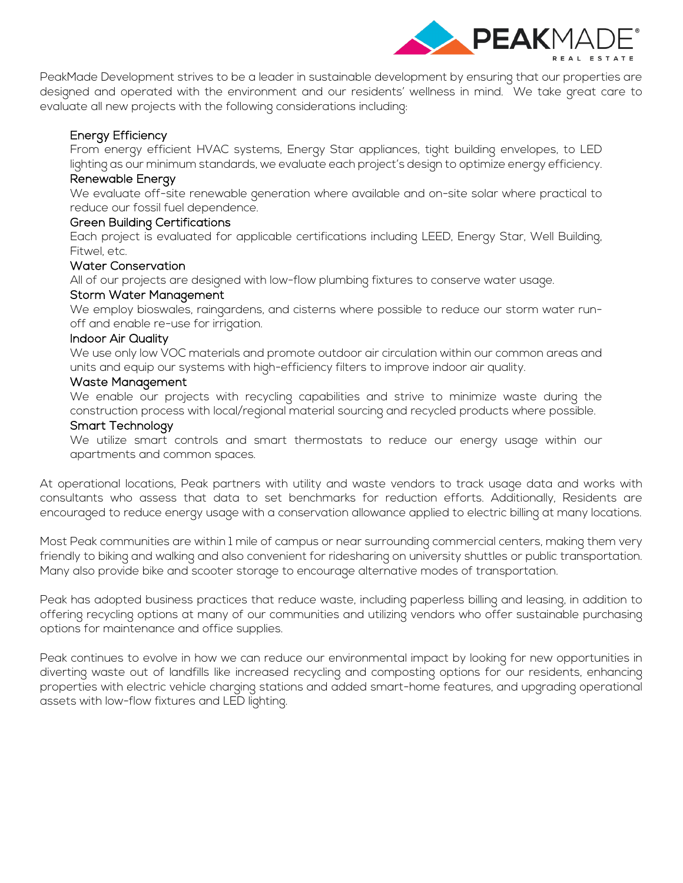

PeakMade Development strives to be a leader in sustainable development by ensuring that our properties are designed and operated with the environment and our residents' wellness in mind. We take great care to evaluate all new projects with the following considerations including:

# Energy Efficiency

From energy efficient HVAC systems, Energy Star appliances, tight building envelopes, to LED lighting as our minimum standards, we evaluate each project's design to optimize energy efficiency.

## Renewable Energy

We evaluate off-site renewable generation where available and on-site solar where practical to reduce our fossil fuel dependence.

## Green Building Certifications

Each project is evaluated for applicable certifications including LEED, Energy Star, Well Building, Fitwel, etc.

## Water Conservation

All of our projects are designed with low-flow plumbing fixtures to conserve water usage.

## Storm Water Management

We employ bioswales, raingardens, and cisterns where possible to reduce our storm water runoff and enable re-use for irrigation.

## Indoor Air Quality

We use only low VOC materials and promote outdoor air circulation within our common areas and units and equip our systems with high-efficiency filters to improve indoor air quality.

## Waste Management

We enable our projects with recycling capabilities and strive to minimize waste during the construction process with local/regional material sourcing and recycled products where possible.

## Smart Technology

We utilize smart controls and smart thermostats to reduce our energy usage within our apartments and common spaces.

At operational locations, Peak partners with utility and waste vendors to track usage data and works with consultants who assess that data to set benchmarks for reduction efforts. Additionally, Residents are encouraged to reduce energy usage with a conservation allowance applied to electric billing at many locations.

Most Peak communities are within 1 mile of campus or near surrounding commercial centers, making them very friendly to biking and walking and also convenient for ridesharing on university shuttles or public transportation. Many also provide bike and scooter storage to encourage alternative modes of transportation.

Peak has adopted business practices that reduce waste, including paperless billing and leasing, in addition to offering recycling options at many of our communities and utilizing vendors who offer sustainable purchasing options for maintenance and office supplies.

Peak continues to evolve in how we can reduce our environmental impact by looking for new opportunities in diverting waste out of landfills like increased recycling and composting options for our residents, enhancing properties with electric vehicle charging stations and added smart-home features, and upgrading operational assets with low-flow fixtures and LED lighting.